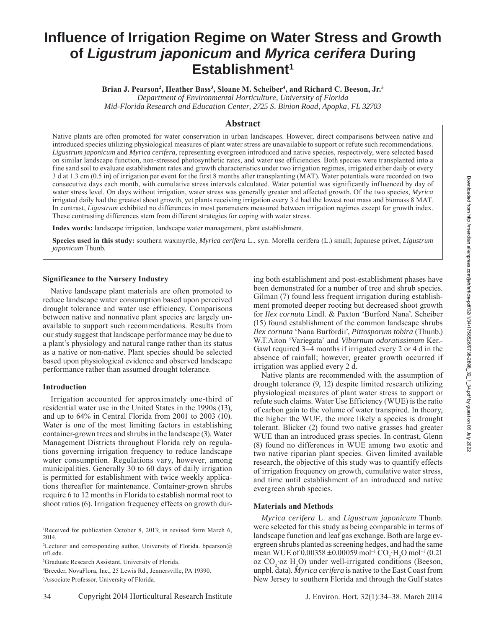# **Influence of Irrigation Regime on Water Stress and Growth of** *Ligustrum japonicum* **and** *Myrica cerifera* **During Establishment1**

Brian J. Pearson<sup>2</sup>, Heather Bass<sup>3</sup>, Sloane M. Scheiber<sup>4</sup>, and Richard C. Beeson, Jr.<sup>5</sup>

*Department of Environmental Horticulture, University of Florida Mid-Florida Research and Education Center, 2725 S. Binion Road, Apopka, FL 32703*

## **Abstract**

Native plants are often promoted for water conservation in urban landscapes. However, direct comparisons between native and introduced species utilizing physiological measures of plant water stress are unavailable to support or refute such recommendations. *Ligustrum japonicum* and *Myrica cerifera*, representing evergreen introduced and native species, respectively, were selected based on similar landscape function, non-stressed photosynthetic rates, and water use efficiencies. Both species were transplanted into a fine sand soil to evaluate establishment rates and growth characteristics under two irrigation regimes, irrigated either daily or every 3 d at 1.3 cm (0.5 in) of irrigation per event for the first 8 months after transplanting (MAT). Water potentials were recorded on two consecutive days each month, with cumulative stress intervals calculated. Water potential was significantly influenced by day of water stress level. On days without irrigation, water stress was generally greater and affected growth. Of the two species, *Myrica* irrigated daily had the greatest shoot growth, yet plants receiving irrigation every 3 d had the lowest root mass and biomass 8 MAT. In contrast, *Ligustrum* exhibited no differences in most parameters measured between irrigation regimes except for growth index. These contrasting differences stem from different strategies for coping with water stress.

**Index words:** landscape irrigation, landscape water management, plant establishment.

**Species used in this study:** southern waxmyrtle, *Myrica cerifera* L., syn. Morella cerifera (L.) small; Japanese privet, *Ligustrum japonicum* Thunb.

### **Significance to the Nursery Industry**

Native landscape plant materials are often promoted to reduce landscape water consumption based upon perceived drought tolerance and water use efficiency. Comparisons between native and nonnative plant species are largely unavailable to support such recommendations. Results from our study suggest that landscape performance may be due to a plant's physiology and natural range rather than its status as a native or non-native. Plant species should be selected based upon physiological evidence and observed landscape performance rather than assumed drought tolerance.

### **Introduction**

Irrigation accounted for approximately one-third of residential water use in the United States in the 1990s (13), and up to 64% in Central Florida from 2001 to 2003 (10). Water is one of the most limiting factors in establishing container-grown trees and shrubs in the landscape (3). Water Management Districts throughout Florida rely on regulations governing irrigation frequency to reduce landscape water consumption. Regulations vary, however, among municipalities. Generally 30 to 60 days of daily irrigation is permitted for establishment with twice weekly applications thereafter for maintenance. Container-grown shrubs require 6 to 12 months in Florida to establish normal root to shoot ratios (6). Irrigation frequency effects on growth dur-

1 Received for publication October 8, 2013; in revised form March 6, 2014.

<sup>2</sup>Lecturer and corresponding author, University of Florida. bpearson@ ufl.edu.

3 Graduate Research Assistant, University of Florida.

4 Breeder, NovaFlora, Inc., 25 Lewis Rd., Jennersville, PA 19390.

5 Associate Professor, University of Florida.

ing both establishment and post-establishment phases have been demonstrated for a number of tree and shrub species. Gilman (7) found less frequent irrigation during establishment promoted deeper rooting but decreased shoot growth for *Ilex cornuta* Lindl. & Paxton 'Burford Nana'. Scheiber (15) found establishment of the common landscape shrubs *Ilex cornuta* 'Nana Burfordii', *Pittosporum tobira* (Thunb.) W.T.Aiton 'Variegata' and *Viburnum odoratissimum* Ker.- Gawl required 3–4 months if irrigated every 2 or 4 d in the absence of rainfall; however, greater growth occurred if irrigation was applied every 2 d.

Native plants are recommended with the assumption of drought tolerance (9, 12) despite limited research utilizing physiological measures of plant water stress to support or refute such claims. Water Use Efficiency (WUE) is the ratio of carbon gain to the volume of water transpired. In theory, the higher the WUE, the more likely a species is drought tolerant. Blicker (2) found two native grasses had greater WUE than an introduced grass species. In contrast, Glenn (8) found no differences in WUE among two exotic and two native riparian plant species. Given limited available research, the objective of this study was to quantify effects of irrigation frequency on growth, cumulative water stress, and time until establishment of an introduced and native evergreen shrub species.

### **Materials and Methods**

*Myrica cerifera* L. and *Ligustrum japonicum* Thunb. were selected for this study as being comparable in terms of landscape function and leaf gas exchange. Both are large evergreen shrubs planted as screening hedges, and had the same mean WUE of  $0.00358 \pm 0.00059$  mol<sup>-1</sup> CO<sub>2</sub> H<sub>2</sub>O mol<sup>-1</sup> (0.21) oz  $CO_2$  oz  $H_2O$ ) under well-irrigated conditions (Beeson, unpbl. data). *Myrica cerifera* is native to the East Coast from New Jersey to southern Florida and through the Gulf states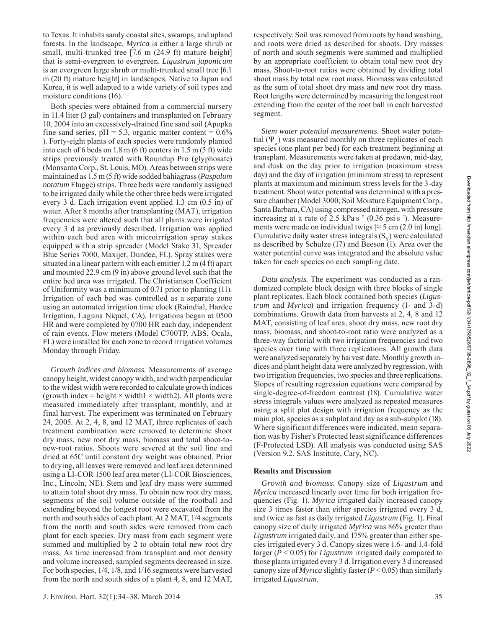to Texas. It inhabits sandy coastal sites, swamps, and upland forests. In the landscape, *Myrica* is either a large shrub or small, multi-trunked tree [7.6 m (24.9 ft) mature height] that is semi-evergreen to evergreen. *Ligustrum japonicum* is an evergreen large shrub or multi-trunked small tree [6.1 m (20 ft) mature height] in landscapes. Native to Japan and Korea, it is well adapted to a wide variety of soil types and moisture conditions (16).

Both species were obtained from a commercial nursery in 11.4 liter (3 gal) containers and transplanted on February 10, 2004 into an excessively-drained fine sand soil (Apopka fine sand series,  $pH = 5.3$ , organic matter content =  $0.6\%$ ). Forty-eight plants of each species were randomly planted into each of 6 beds on 1.8 m (6 ft) centers in 1.5 m (5 ft) wide strips previously treated with Roundup Pro (glyphosate) (Monsanto Corp., St. Louis, MO). Areas between strips were maintained as 1.5 m (5 ft) wide sodded bahiagrass (*Paspalum notatum* Flugge) strips. Three beds were randomly assigned to be irrigated daily while the other three beds were irrigated every 3 d. Each irrigation event applied 1.3 cm (0.5 in) of water. After 8 months after transplanting (MAT), irrigation frequencies were altered such that all plants were irrigated every 3 d as previously described. Irrigation was applied within each bed area with microirrigation spray stakes equipped with a strip spreader (Model Stake 31, Spreader Blue Series 7000, Maxijet, Dundee, FL). Spray stakes were situated in a linear pattern with each emitter 1.2 m (4 ft) apart and mounted 22.9 cm (9 in) above ground level such that the entire bed area was irrigated. The Christiansen Coefficient of Uniformity was a minimum of 0.71 prior to planting (11). Irrigation of each bed was controlled as a separate zone using an automated irrigation time clock (Raindial, Hardee Irrigation, Laguna Niquel, CA). Irrigations began at 0500 HR and were completed by 0700 HR each day, independent of rain events. Flow meters (Model C700TP, ABS, Ocala, FL) were installed for each zone to record irrigation volumes Monday through Friday.

*Growth indices and biomass.* Measurements of average canopy height, widest canopy width, and width perpendicular to the widest width were recorded to calculate growth indices (growth index = height  $\times$  width1  $\times$  width2). All plants were measured immediately after transplant, monthly, and at final harvest. The experiment was terminated on February 24, 2005. At 2, 4, 8, and 12 MAT, three replicates of each treatment combination were removed to determine shoot dry mass, new root dry mass, biomass and total shoot-tonew-root ratios. Shoots were severed at the soil line and dried at 65C until constant dry weight was obtained. Prior to drying, all leaves were removed and leaf area determined using a LI-COR 1500 leaf area meter (LI-COR Biosciences, Inc., Lincoln, NE). Stem and leaf dry mass were summed to attain total shoot dry mass. To obtain new root dry mass, segments of the soil volume outside of the rootball and extending beyond the longest root were excavated from the north and south sides of each plant. At 2 MAT, 1/4 segments from the north and south sides were removed from each plant for each species. Dry mass from each segment were summed and multiplied by 2 to obtain total new root dry mass. As time increased from transplant and root density and volume increased, sampled segments decreased in size. For both species, 1/4, 1/8, and 1/16 segments were harvested from the north and south sides of a plant 4, 8, and 12 MAT, respectively. Soil was removed from roots by hand washing, and roots were dried as described for shoots. Dry masses of north and south segments were summed and multiplied by an appropriate coefficient to obtain total new root dry mass. Shoot-to-root ratios were obtained by dividing total shoot mass by total new root mass. Biomass was calculated as the sum of total shoot dry mass and new root dry mass. Root lengths were determined by measuring the longest root extending from the center of the root ball in each harvested segment.

*Stem water potential measurements.* Shoot water potential  $(\Psi_{\mu})$  was measured monthly on three replicates of each species (one plant per bed) for each treatment beginning at transplant. Measurements were taken at predawn, mid-day, and dusk on the day prior to irrigation (maximum stress day) and the day of irrigation (minimum stress) to represent plants at maximum and minimum stress levels for the 3-day treatment. Shoot water potential was determined with a pressure chamber (Model 3000; Soil Moisture Equipment Corp., Santa Barbara, CA) using compressed nitrogen, with pressure increasing at a rate of 2.5 kPa∙s–2 (0.36 psi∙s–2). Measurements were made on individual twigs  $\approx$  5 cm (2.0 in) long]. Cumulative daily water stress integrals  $(S_v)$  were calculated as described by Schulze (17) and Beeson (1). Area over the water potential curve was integrated and the absolute value taken for each species on each sampling date.

*Data analysis.* The experiment was conducted as a randomized complete block design with three blocks of single plant replicates. Each block contained both species (*Ligustrum* and *Myrica*) and irrigation frequency (1- and 3-d) combinations. Growth data from harvests at 2, 4, 8 and 12 MAT, consisting of leaf area, shoot dry mass, new root dry mass, biomass, and shoot-to-root ratio were analyzed as a three-way factorial with two irrigation frequencies and two species over time with three replications. All growth data were analyzed separately by harvest date. Monthly growth indices and plant height data were analyzed by regression, with two irrigation frequencies, two species and three replications. Slopes of resulting regression equations were compared by single-degree-of-freedom contrast (18). Cumulative water stress integrals values were analyzed as repeated measures using a split plot design with irrigation frequency as the main plot, species as a subplot and day as a sub-subplot (18). Where significant differences were indicated, mean separation was by Fisher's Protected least significance differences (F-Protected LSD). All analysis was conducted using SAS (Version 9.2, SAS Institute, Cary, NC).

### **Results and Discussion**

*Growth and biomass*. Canopy size of *Ligustrum* and *Myrica* increased linearly over time for both irrigation frequencies (Fig. 1). *Myrica* irrigated daily increased canopy size 3 times faster than either species irrigated every 3 d, and twice as fast as daily irrigated *Ligustrum* (Fig. 1). Final canopy size of daily irrigated *Myrica* was 86% greater than *Ligustrum* irrigated daily, and 175% greater than either species irrigated every 3 d. Canopy sizes were 1.6- and 1.4-fold larger (*P* < 0.05) for *Ligustrum* irrigated daily compared to those plantsirrigated every 3 d. Irrigation every 3 d increased canopy size of *Myrica* slightly faster (*P* < 0.05) than similarly irrigated *Ligustrum*.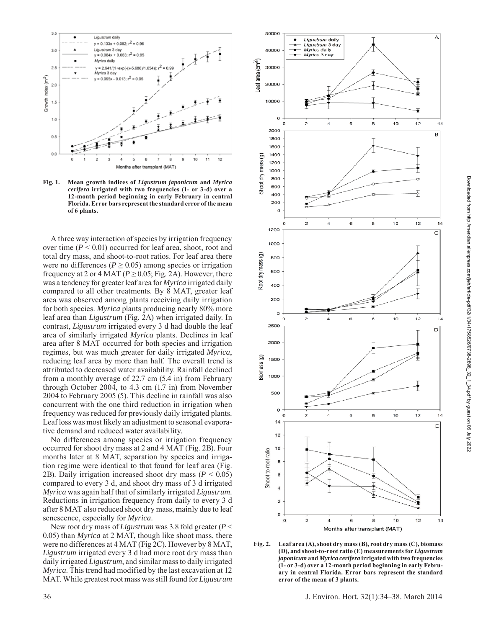

**Fig. 1. Mean growth indices of** *Ligustrum japonicum* **and** *Myrica cerifera* **irrigated with two frequencies (1- or 3-d) over a 12-month period beginning in early February in central Florida. Error bars represent the standard error of the mean of 6 plants.**

A three way interaction of species by irrigation frequency over time (*P* < 0.01) occurred for leaf area, shoot, root and total dry mass, and shoot-to-root ratios. For leaf area there were no differences ( $P \ge 0.05$ ) among species or irrigation frequency at 2 or 4 MAT ( $P \ge 0.05$ ; Fig. 2A). However, there was a tendency for greater leaf area for *Myrica* irrigated daily compared to all other treatments. By 8 MAT, greater leaf area was observed among plants receiving daily irrigation for both species. *Myrica* plants producing nearly 80% more leaf area than *Ligustrum* (Fig. 2A) when irrigated daily. In contrast, *Ligustrum* irrigated every 3 d had double the leaf area of similarly irrigated *Myrica* plants. Declines in leaf area after 8 MAT occurred for both species and irrigation regimes, but was much greater for daily irrigated *Myrica*, reducing leaf area by more than half. The overall trend is attributed to decreased water availability. Rainfall declined from a monthly average of 22.7 cm (5.4 in) from February through October 2004, to 4.3 cm (1.7 in) from November 2004 to February 2005 (5). This decline in rainfall was also concurrent with the one third reduction in irrigation when frequency was reduced for previously daily irrigated plants. Leaf loss was most likely an adjustment to seasonal evaporative demand and reduced water availability.

No differences among species or irrigation frequency occurred for shoot dry mass at 2 and 4 MAT (Fig. 2B). Four months later at 8 MAT, separation by species and irrigation regime were identical to that found for leaf area (Fig. 2B). Daily irrigation increased shoot dry mass (*P* < 0.05) compared to every 3 d, and shoot dry mass of 3 d irrigated *Myrica* was again half that of similarly irrigated *Ligustrum*. Reductions in irrigation frequency from daily to every 3 d after 8 MAT also reduced shoot dry mass, mainly due to leaf senescence, especially for *Myrica*.

New root dry mass of *Ligustrum* was 3.8 fold greater (*P* < 0.05) than *Myrica* at 2 MAT, though like shoot mass, there were no differences at 4 MAT (Fig 2C). However by 8 MAT, *Ligustrum* irrigated every 3 d had more root dry mass than daily irrigated *Ligustrum*, and similar mass to daily irrigated *Myrica*. This trend had modified by the last excavation at 12 MAT. While greatest root mass was still found for *Ligustrum* 



**Fig. 2. Leaf area (A), shoot dry mass (B), root dry mass (C), biomass (D), and shoot-to-root ratio (E) measurements for** *Ligustrum japonicum* **and** *Myrica cerifera* **irrigated with two frequencies (1- or 3-d) over a 12-month period beginning in early February in central Florida. Error bars represent the standard error of the mean of 3 plants.**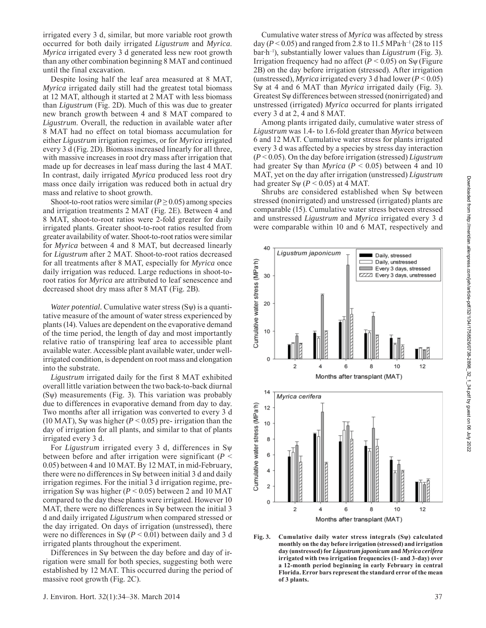irrigated every 3 d, similar, but more variable root growth occurred for both daily irrigated *Ligustrum* and *Myrica*. *Myrica* irrigated every 3 d generated less new root growth than any other combination beginning 8 MAT and continued until the final excavation.

Despite losing half the leaf area measured at 8 MAT, *Myrica* irrigated daily still had the greatest total biomass at 12 MAT, although it started at 2 MAT with less biomass than *Ligustrum* (Fig. 2D). Much of this was due to greater new branch growth between 4 and 8 MAT compared to *Ligustrum*. Overall, the reduction in available water after 8 MAT had no effect on total biomass accumulation for either *Ligustrum* irrigation regimes, or for *Myrica* irrigated every 3 d (Fig. 2D). Biomass increased linearly for all three, with massive increases in root dry mass after irrigation that made up for decreases in leaf mass during the last 4 MAT. In contrast, daily irrigated *Myrica* produced less root dry mass once daily irrigation was reduced both in actual dry mass and relative to shoot growth.

Shoot-to-root ratios were similar ( $P \ge 0.05$ ) among species and irrigation treatments 2 MAT (Fig. 2E). Between 4 and 8 MAT, shoot-to-root ratios were 2-fold greater for daily irrigated plants. Greater shoot-to-root ratios resulted from greater availability of water. Shoot-to-root ratios were similar for *Myrica* between 4 and 8 MAT, but decreased linearly for *Ligustrum* after 2 MAT. Shoot-to-root ratios decreased for all treatments after 8 MAT, especially for *Myrica* once daily irrigation was reduced. Large reductions in shoot-toroot ratios for *Myrica* are attributed to leaf senescence and decreased shoot dry mass after 8 MAT (Fig. 2B).

*Water potential.* Cumulative water stress (Sψ) is a quantitative measure of the amount of water stress experienced by plants (14). Values are dependent on the evaporative demand of the time period, the length of day and most importantly relative ratio of transpiring leaf area to accessible plant available water. Accessible plant available water, under wellirrigated condition, is dependent on root mass and elongation into the substrate.

*Ligustrum* irrigated daily for the first 8 MAT exhibited overall little variation between the two back-to-back diurnal  $(S_{\Psi})$  measurements (Fig. 3). This variation was probably due to differences in evaporative demand from day to day. Two months after all irrigation was converted to every 3 d (10 MAT), Sw was higher ( $P < 0.05$ ) pre- irrigation than the day of irrigation for all plants, and similar to that of plants irrigated every 3 d.

For *Ligustrum* irrigated every 3 d, differences in Sѱ between before and after irrigation were significant (*P* < 0.05) between 4 and 10 MAT. By 12 MAT, in mid-February, there were no differences in  $S_{\Psi}$  between initial 3 d and daily irrigation regimes. For the initial 3 d irrigation regime, preirrigation S $\psi$  was higher ( $P < 0.05$ ) between 2 and 10 MAT compared to the day these plants were irrigated. However 10 MAT, there were no differences in  $S_{\Psi}$  between the initial 3 d and daily irrigated *Ligustrum* when compared stressed or the day irrigated. On days of irrigation (unstressed), there were no differences in S $\psi$  (*P* < 0.01) between daily and 3 d irrigated plants throughout the experiment.

Differences in Sѱ between the day before and day of irrigation were small for both species, suggesting both were established by 12 MAT. This occurred during the period of massive root growth (Fig. 2C).

Cumulative water stress of *Myrica* was affected by stress day ( $P \le 0.05$ ) and ranged from 2.8 to 11.5 MPa⋅h<sup>-1</sup> (28 to 115) bar∙h–1), substantially lower values than *Ligustrum* (Fig. 3). Irrigation frequency had no affect  $(P < 0.05)$  on S $\psi$  (Figure 2B) on the day before irrigation (stressed). After irrigation (unstressed), *Myrica* irrigated every 3 d had lower (*P* < 0.05) Sѱ at 4 and 6 MAT than *Myrica* irrigated daily (Fig. 3). Greatest Sѱ differences between stressed (nonirrigated) and unstressed (irrigated) *Myrica* occurred for plants irrigated every 3 d at 2, 4 and 8 MAT.

Among plants irrigated daily, cumulative water stress of *Ligustrum* was 1.4- to 1.6-fold greater than *Myrica* between 6 and 12 MAT. Cumulative water stress for plants irrigated every 3 d was affected by a species by stress day interaction (*P* < 0.05). On the day before irrigation (stressed) *Ligustrum*  had greater S $\psi$  than *Myrica* ( $P < 0.05$ ) between 4 and 10 MAT, yet on the day after irrigation (unstressed) *Ligustrum* had greater S $\psi$  (*P* < 0.05) at 4 MAT.

Shrubs are considered established when  $S_{\Psi}$  between stressed (nonirrigated) and unstressed (irrigated) plants are comparable (15). Cumulative water stress between stressed and unstressed *Ligustrum* and *Myrica* irrigated every 3 d were comparable within 10 and 6 MAT, respectively and



**Fig. 3. Cumulative daily water stress integrals (Sѱ) calculated monthly on the day before irrigation (stressed) and irrigation day (unstressed) for** *Ligustrum japonicum* **and** *Myrica cerifera* **irrigated with two irrigation frequencies (1- and 3-day) over a 12-month period beginning in early February in central Florida. Error bars represent the standard error of the mean of 3 plants.**